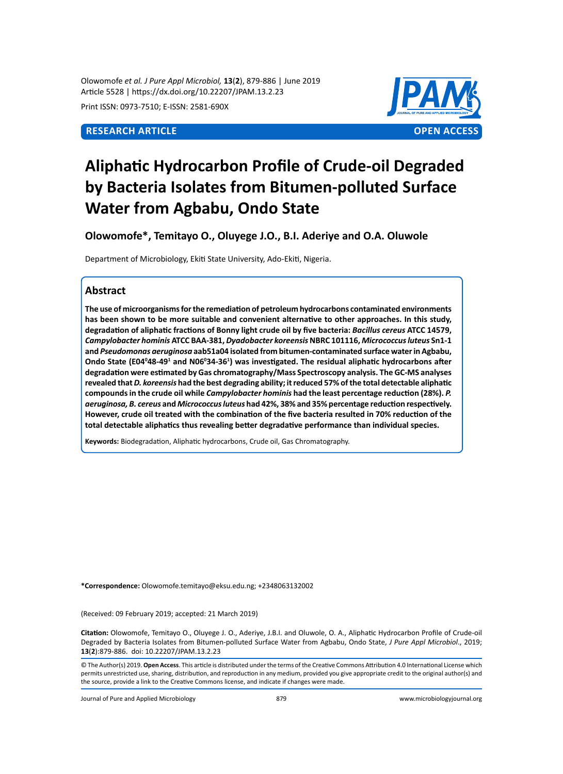Olowomofe *et al. J Pure Appl Microbiol,* **13**(**2**), 879-886 | June 2019 Article 5528 | https://dx.doi.org/10.22207/JPAM.13.2.23

Print ISSN: 0973-7510; E-ISSN: 2581-690X



# **Aliphatic Hydrocarbon Profile of Crude-oil Degraded by Bacteria Isolates from Bitumen-polluted Surface Water from Agbabu, Ondo State**

**Olowomofe\*, Temitayo O., Oluyege J.O., B.I. Aderiye and O.A. Oluwole**

Department of Microbiology, Ekiti State University, Ado-Ekiti, Nigeria.

# **Abstract**

**The use of microorganisms for the remediation of petroleum hydrocarbons contaminated environments has been shown to be more suitable and convenient alternative to other approaches. In this study, degradation of aliphatic fractions of Bonny light crude oil by five bacteria:** *Bacillus cereus* **ATCC 14579,**  *Campylobacter hominis* **ATCC BAA-381,** *Dyadobacter koreensis* **NBRC 101116,** *Micrococcus luteus* **Sn1-1 and** *Pseudomonas aeruginosa* **aab51a04 isolated from bitumen-contaminated surface water in Agbabu,**  Ondo State (E04º48-49<sup>1</sup> and N06º34-36<sup>1</sup>) was investigated. The residual aliphatic hydrocarbons after **degradation were estimated by Gas chromatography/Mass Spectroscopy analysis. The GC-MS analyses revealed that** *D. koreensis* **had the best degrading ability; it reduced 57% of the total detectable aliphatic compounds in the crude oil while** *Campylobacter hominis* **had the least percentage reduction (28%).** *P. aeruginosa, B. cereus* **and** *Micrococcus luteus* **had 42%, 38% and 35% percentage reduction respectively. However, crude oil treated with the combination of the five bacteria resulted in 70% reduction of the total detectable aliphatics thus revealing better degradative performance than individual species.**

**Keywords:** Biodegradation, Aliphatic hydrocarbons, Crude oil, Gas Chromatography.

**\*Correspondence:** Olowomofe.temitayo@eksu.edu.ng; +2348063132002

(Received: 09 February 2019; accepted: 21 March 2019)

**Citation:** Olowomofe, Temitayo O., Oluyege J. O., Aderiye, J.B.I. and Oluwole, O. A., Aliphatic Hydrocarbon Profile of Crude-oil Degraded by Bacteria Isolates from Bitumen-polluted Surface Water from Agbabu, Ondo State, *J Pure Appl Microbiol*., 2019; **13**(**2**):879-886. doi: 10.22207/JPAM.13.2.23

Journal of Pure and Applied Microbiology 879 www.microbiologyjournal.org

<sup>©</sup> The Author(s) 2019. **Open Access**. This article is distributed under the terms of the Creative Commons Attribution 4.0 International License which permits unrestricted use, sharing, distribution, and reproduction in any medium, provided you give appropriate credit to the original author(s) and the source, provide a link to the Creative Commons license, and indicate if changes were made.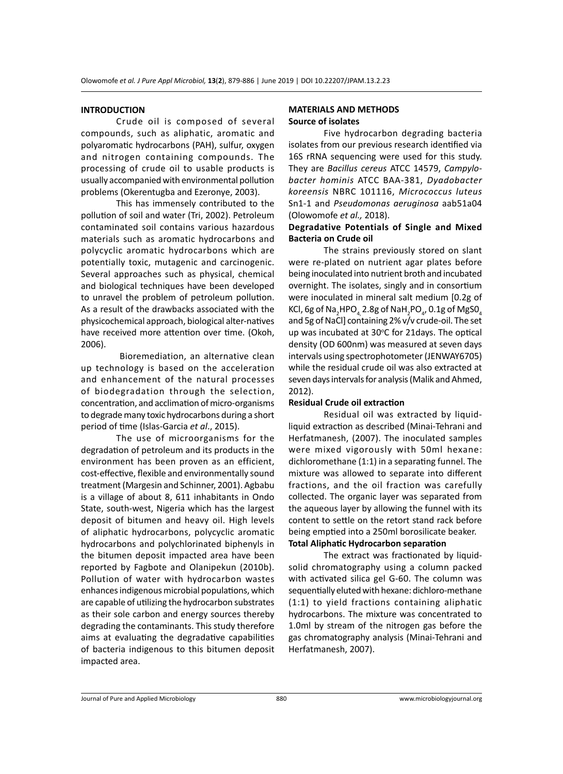## **INTRODUCTION**

Crude oil is composed of several compounds, such as aliphatic, aromatic and polyaromatic hydrocarbons (PAH), sulfur, oxygen and nitrogen containing compounds. The processing of crude oil to usable products is usually accompanied with environmental pollution problems (Okerentugba and Ezeronye, 2003).

This has immensely contributed to the pollution of soil and water (Tri, 2002). Petroleum contaminated soil contains various hazardous materials such as aromatic hydrocarbons and polycyclic aromatic hydrocarbons which are potentially toxic, mutagenic and carcinogenic. Several approaches such as physical, chemical and biological techniques have been developed to unravel the problem of petroleum pollution. As a result of the drawbacks associated with the physicochemical approach, biological alter-natives have received more attention over time. (Okoh, 2006).

 Bioremediation, an alternative clean up technology is based on the acceleration and enhancement of the natural processes of biodegradation through the selection, concentration, and acclimation of micro-organisms to degrade many toxic hydrocarbons during a short period of time (Islas-Garcia *et al*., 2015).

The use of microorganisms for the degradation of petroleum and its products in the environment has been proven as an efficient, cost-effective, flexible and environmentally sound treatment (Margesin and Schinner, 2001). Agbabu is a village of about 8, 611 inhabitants in Ondo State, south-west, Nigeria which has the largest deposit of bitumen and heavy oil. High levels of aliphatic hydrocarbons, polycyclic aromatic hydrocarbons and polychlorinated biphenyls in the bitumen deposit impacted area have been reported by Fagbote and Olanipekun (2010b). Pollution of water with hydrocarbon wastes enhances indigenous microbial populations, which are capable of utilizing the hydrocarbon substrates as their sole carbon and energy sources thereby degrading the contaminants. This study therefore aims at evaluating the degradative capabilities of bacteria indigenous to this bitumen deposit impacted area.

# **MATERIALS AND METHODS Source of isolates**

Five hydrocarbon degrading bacteria isolates from our previous research identified via 16S rRNA sequencing were used for this study. They are *Bacillus cereus* ATCC 14579, *Campylobacter hominis* ATCC BAA-381, *Dyadobacter koreensis* NBRC 101116, *Micrococcus luteus* Sn1-1 and *Pseudomonas aeruginosa* aab51a04 (Olowomofe *et al.,* 2018).

# **Degradative Potentials of Single and Mixed Bacteria on Crude oil**

The strains previously stored on slant were re-plated on nutrient agar plates before being inoculated into nutrient broth and incubated overnight. The isolates, singly and in consortium were inoculated in mineral salt medium [0.2g of KCl, 6g of Na $_{\textrm{\tiny{2}}}$ HPO $_{\textrm{\tiny{4}}}$ , 2.8g of NaH $_{\textrm{\tiny{2}}}$ PO $_{\textrm{\tiny{4}}}$ , 0.1g of MgSO $_{\textrm{\tiny{4}}}$ and 5g of NaCl] containing 2% v/v crude-oil. The set up was incubated at 30°C for 21days. The optical density (OD 600nm) was measured at seven days intervals using spectrophotometer (JENWAY6705) while the residual crude oil was also extracted at seven days intervals for analysis (Malik and Ahmed, 2012).

# **Residual Crude oil extraction**

Residual oil was extracted by liquidliquid extraction as described (Minai-Tehrani and Herfatmanesh, (2007). The inoculated samples were mixed vigorously with 50ml hexane: dichloromethane (1:1) in a separating funnel. The mixture was allowed to separate into different fractions, and the oil fraction was carefully collected. The organic layer was separated from the aqueous layer by allowing the funnel with its content to settle on the retort stand rack before being emptied into a 250ml borosilicate beaker. **Total Aliphatic Hydrocarbon separation**

The extract was fractionated by liquidsolid chromatography using a column packed with activated silica gel G-60. The column was sequentially eluted with hexane: dichloro-methane (1:1) to yield fractions containing aliphatic hydrocarbons. The mixture was concentrated to 1.0ml by stream of the nitrogen gas before the gas chromatography analysis (Minai-Tehrani and Herfatmanesh, 2007).

Journal of Pure and Applied Microbiology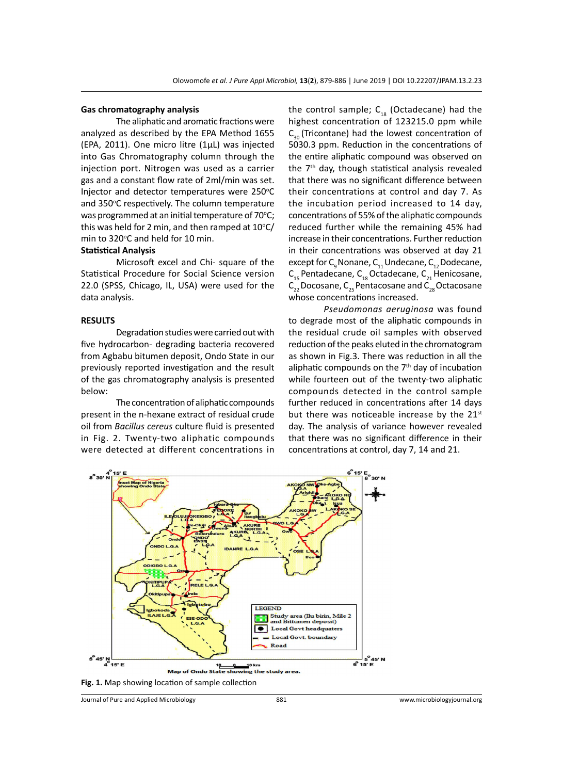#### **Gas chromatography analysis**

The aliphatic and aromatic fractions were analyzed as described by the EPA Method 1655 (EPA, 2011). One micro litre (1µL) was injected into Gas Chromatography column through the injection port. Nitrogen was used as a carrier gas and a constant flow rate of 2ml/min was set. Injector and detector temperatures were 250°C and 350°C respectively. The column temperature was programmed at an initial temperature of 70°C; this was held for 2 min, and then ramped at  $10^{\circ}$ C/ min to 320°C and held for 10 min.

#### **Statistical Analysis**

Microsoft excel and Chi- square of the Statistical Procedure for Social Science version 22.0 (SPSS, Chicago, IL, USA) were used for the data analysis.

#### **RESULTS**

Degradation studies were carried out with five hydrocarbon- degrading bacteria recovered from Agbabu bitumen deposit, Ondo State in our previously reported investigation and the result of the gas chromatography analysis is presented below:

The concentration of aliphatic compounds present in the n-hexane extract of residual crude oil from *Bacillus cereus* culture fluid is presented in Fig. 2. Twenty-two aliphatic compounds were detected at different concentrations in the control sample;  $C_{18}$  (Octadecane) had the highest concentration of 123215.0 ppm while  $C_{30}$  (Tricontane) had the lowest concentration of 5030.3 ppm. Reduction in the concentrations of the entire aliphatic compound was observed on the  $7<sup>th</sup>$  day, though statistical analysis revealed that there was no significant difference between their concentrations at control and day 7. As the incubation period increased to 14 day, concentrations of 55% of the aliphatic compounds reduced further while the remaining 45% had increase in their concentrations. Further reduction in their concentrations was observed at day 21 except for  $C_q$  Nonane,  $C_{11}$  Undecane,  $C_{12}$  Dodecane,  $C_{15}$  Pentadecane,  $C_{18}$  Octadecane,  $C_{21}$  Henicosane,  $\overline{C_{23}}$  Docosane,  $C_{25}$  Pentacosane and  $C_{28}$  Octacosane whose concentrations increased.

*Pseudomonas aeruginosa* was found to degrade most of the aliphatic compounds in the residual crude oil samples with observed reduction of the peaks eluted in the chromatogram as shown in Fig.3. There was reduction in all the aliphatic compounds on the  $7<sup>th</sup>$  day of incubation while fourteen out of the twenty-two aliphatic compounds detected in the control sample further reduced in concentrations after 14 days but there was noticeable increase by the  $21<sup>st</sup>$ day. The analysis of variance however revealed that there was no significant difference in their concentrations at control, day 7, 14 and 21.



**Fig. 1.** Map showing location of sample collection

Journal of Pure and Applied Microbiology 881 www.microbiologyjournal.org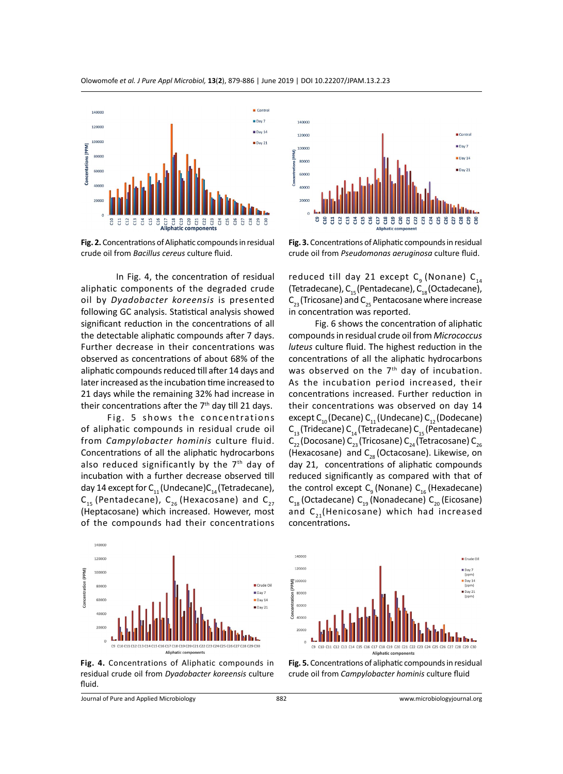

**Fig. 2.** Concentrations of Aliphatic compounds in residual crude oil from *Bacillus cereus* culture fluid.

In Fig. 4, the concentration of residual aliphatic components of the degraded crude oil by *Dyadobacter koreensis* is presented following GC analysis. Statistical analysis showed significant reduction in the concentrations of all the detectable aliphatic compounds after 7 days. Further decrease in their concentrations was observed as concentrations of about 68% of the aliphatic compounds reduced till after 14 days and later increased as the incubation time increased to 21 days while the remaining 32% had increase in their concentrations after the  $7<sup>th</sup>$  day till 21 days.

Fig. 5 shows the concentrations of aliphatic compounds in residual crude oil from *Campylobacter hominis* culture fluid. Concentrations of all the aliphatic hydrocarbons also reduced significantly by the  $7<sup>th</sup>$  day of incubation with a further decrease observed till day 14 except for  $C_{11}$  (Undecane)C<sub>14</sub> (Tetradecane),  $C_{15}$  (Pentadecane),  $C_{26}$  (Hexacosane) and  $C_{27}$ (Heptacosane) which increased. However, most of the compounds had their concentrations





Olowomofe *et al. J Pure Appl Microbiol,* **13**(**2**), 879-886 | June 2019 | DOI 10.22207/JPAM.13.2.23



**Fig. 3.** Concentrations of Aliphatic compounds in residual crude oil from *Pseudomonas aeruginosa* culture fluid.

reduced till day 21 except  $C_q$  (Nonane)  $C_{14}$ (Tetradecane),  $C_{15}$  (Pentadecane),  $C_{18}$  (Octadecane),  $C_{23}$  (Tricosane) and  $C_{25}$  Pentacosane where increase in concentration was reported.

Fig. 6 shows the concentration of aliphatic compounds in residual crude oil from *Micrococcus luteus* culture fluid. The highest reduction in the concentrations of all the aliphatic hydrocarbons was observed on the 7<sup>th</sup> day of incubation. As the incubation period increased, their concentrations increased. Further reduction in their concentrations was observed on day 14 except C<sub>10</sub> (Decane) C<sub>11</sub> (Undecane) C<sub>12</sub> (Dodecane)  $C_{13}$  (Tridecane)  $C_{14}$  (Tetradecane)  $C_{15}$  (Pentadecane)  $C_{22}$  (Docosane) C<sub>23</sub> (Tricosane) C<sub>24</sub> (Tetracosane) C<sub>26</sub> (Hexacosane) and C<sub>28</sub> (Octacosane). Likewise, on day 21, concentrations of aliphatic compounds reduced significantly as compared with that of the control except  $C_q$  (Nonane)  $C_{16}$  (Hexadecane)  $C_{18}$  (Octadecane)  $C_{19}$  (Nonadecane)  $C_{20}$  (Eicosane) and  $C_{21}$ (Henicosane) which had increased concentrations**.**



**Fig. 4.** Concentrations of Aliphatic compounds in residual crude oil from *Dyadobacter koreensis* culture fluid.

**Fig. 5.** Concentrations of aliphatic compounds in residual crude oil from *Campylobacter hominis* culture fluid

Journal of Pure and Applied Microbiology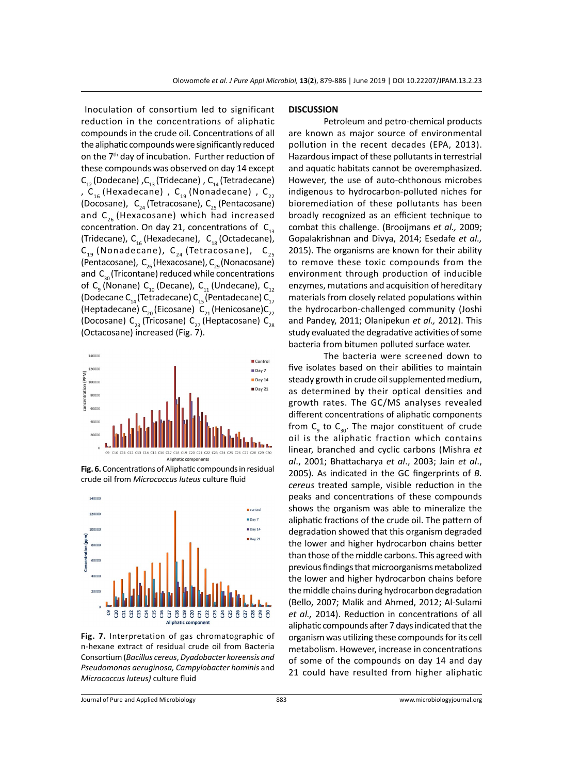Inoculation of consortium led to significant reduction in the concentrations of aliphatic compounds in the crude oil. Concentrations of all the aliphatic compounds were significantly reduced on the 7<sup>th</sup> day of incubation. Further reduction of these compounds was observed on day 14 except  $C_{12}$  (Dodecane) , $C_{13}$  (Tridecane) ,  $C_{14}$  (Tetradecane) , C<sub>16</sub> (Hexadecane) , C<sub>19</sub> (Nonadecane) , C<sub>22</sub> (Docosane),  $C_{24}$  (Tetracosane),  $C_{25}$  (Pentacosane) and  $C_{26}$  (Hexacosane) which had increased concentration. On day 21, concentrations of  $C_{13}$ (Tridecane),  $C_{16}$  (Hexadecane),  $C_{18}$  (Octadecane),  $C_{19}$  (Nonadecane),  $C_{24}$  (Tetracosane),  $C_{25}$ (Pentacosane),  $C_{26}$ (Hexacosane),  $C_{29}$  (Nonacosane) and  $C_{30}$ (Tricontane) reduced while concentrations of C<sub>a</sub> (Nonane) C<sub>10</sub> (Decane), C<sub>11</sub> (Undecane), C<sub>12</sub> (Dodecane C<sub>14</sub> (Tetradecane) C<sub>15</sub> (Pentadecane) C<sub>17</sub> (Heptadecane) C<sub>20</sub> (Eicosane) C<sub>21</sub> (Henicosane)C<sub>22</sub> (Docosane) C<sub>23</sub> (Tricosane) C<sub>27</sub> (Heptacosane) C<sub>28</sub> (Octacosane) increased (Fig. 7).



**Fig. 6.** Concentrations of Aliphatic compounds in residual crude oil from *Micrococcus luteus* culture fluid



**Fig. 7.** Interpretation of gas chromatographic of n-hexane extract of residual crude oil from Bacteria Consortium (*Bacillus cereus*, *Dyadobacter koreensis and Pseudomonas aeruginosa, Campylobacter hominis* and *Micrococcus luteus)* culture fluid

#### **DISCUSSION**

Petroleum and petro-chemical products are known as major source of environmental pollution in the recent decades (EPA, 2013). Hazardous impact of these pollutants in terrestrial and aquatic habitats cannot be overemphasized. However, the use of auto-chthonous microbes indigenous to hydrocarbon-polluted niches for bioremediation of these pollutants has been broadly recognized as an efficient technique to combat this challenge. (Brooijmans *et al.,* 2009; Gopalakrishnan and Divya, 2014; Esedafe *et al.,* 2015). The organisms are known for their ability to remove these toxic compounds from the environment through production of inducible enzymes, mutations and acquisition of hereditary materials from closely related populations within the hydrocarbon-challenged community (Joshi and Pandey, 2011; Olanipekun *et al.,* 2012). This study evaluated the degradative activities of some bacteria from bitumen polluted surface water.

The bacteria were screened down to five isolates based on their abilities to maintain steady growth in crude oil supplemented medium, as determined by their optical densities and growth rates. The GC/MS analyses revealed different concentrations of aliphatic components from  $C_{9}$  to  $C_{30}$ . The major constituent of crude oil is the aliphatic fraction which contains linear, branched and cyclic carbons (Mishra *et al*., 2001; Bhattacharya *et al*., 2003; Jain *et al*., 2005). As indicated in the GC fingerprints of *B. cereus* treated sample, visible reduction in the peaks and concentrations of these compounds shows the organism was able to mineralize the aliphatic fractions of the crude oil. The pattern of degradation showed that this organism degraded the lower and higher hydrocarbon chains better than those of the middle carbons. This agreed with previous findings that microorganisms metabolized the lower and higher hydrocarbon chains before the middle chains during hydrocarbon degradation (Bello, 2007; Malik and Ahmed, 2012; Al-Sulami *et al.,* 2014). Reduction in concentrations of all aliphatic compounds after 7 days indicated that the organism was utilizing these compounds for its cell metabolism. However, increase in concentrations of some of the compounds on day 14 and day 21 could have resulted from higher aliphatic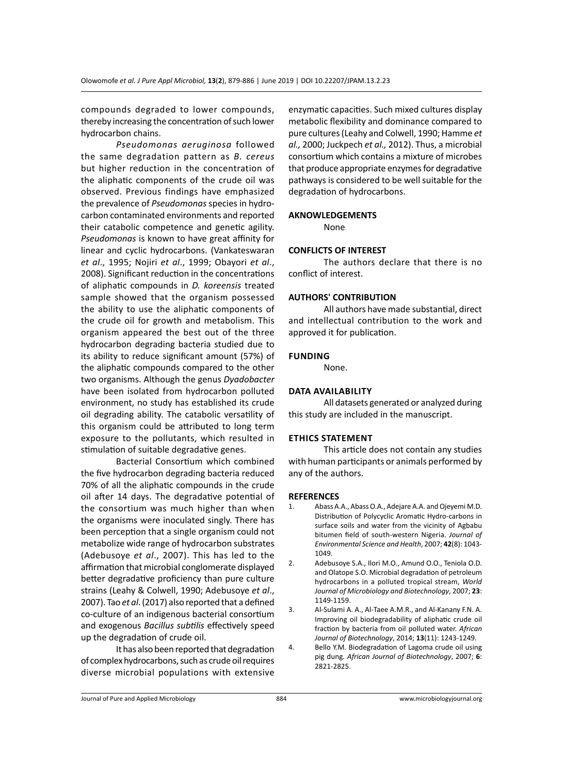compounds degraded to lower compounds, thereby increasing the concentration of such lower hydrocarbon chains.

*Pseudomonas aeruginosa* followed the same degradation pattern as *B. cereus*  but higher reduction in the concentration of the aliphatic components of the crude oil was observed. Previous findings have emphasized the prevalence of *Pseudomonas* species in hydrocarbon contaminated environments and reported their catabolic competence and genetic agility. *Pseudomonas* is known to have great affinity for linear and cyclic hydrocarbons. (Vankateswaran *et al*., 1995; Nojiri *et al*., 1999; Obayori *et al*., 2008). Significant reduction in the concentrations of aliphatic compounds in *D. koreensis* treated sample showed that the organism possessed the ability to use the aliphatic components of the crude oil for growth and metabolism. This organism appeared the best out of the three hydrocarbon degrading bacteria studied due to its ability to reduce significant amount (57%) of the aliphatic compounds compared to the other two organisms. Although the genus *Dyadobacter* have been isolated from hydrocarbon polluted environment, no study has established its crude oil degrading ability. The catabolic versatility of this organism could be attributed to long term exposure to the pollutants, which resulted in stimulation of suitable degradative genes.

Bacterial Consortium which combined the five hydrocarbon degrading bacteria reduced 70% of all the aliphatic compounds in the crude oil after 14 days. The degradative potential of the consortium was much higher than when the organisms were inoculated singly. There has been perception that a single organism could not metabolize wide range of hydrocarbon substrates (Adebusoye *et al*., 2007). This has led to the affirmation that microbial conglomerate displayed better degradative proficiency than pure culture strains (Leahy & Colwell, 1990; Adebusoye *et al*., 2007). Tao *et al*. (2017) also reported that a defined co-culture of an indigenous bacterial consortium and exogenous *Bacillus subtilis* effectively speed up the degradation of crude oil.

It has also been reported that degradation of complex hydrocarbons, such as crude oil requires diverse microbial populations with extensive enzymatic capacities. Such mixed cultures display metabolic flexibility and dominance compared to pure cultures (Leahy and Colwell, 1990; Hamme *et al.,* 2000; Juckpech *et al.,* 2012). Thus, a microbial consortium which contains a mixture of microbes that produce appropriate enzymes for degradative pathways is considered to be well suitable for the degradation of hydrocarbons.

### **AKNOWLEDGEMENTS**

None

#### **CONFLICTS OF INTEREST**

The authors declare that there is no conflict of interest.

#### **AUTHORS' CONTRIBUTION**

All authors have made substantial, direct and intellectual contribution to the work and approved it for publication.

#### **Funding**

None.

#### **Data availability**

All datasets generated or analyzed during this study are included in the manuscript.

#### **Ethics Statement**

This article does not contain any studies with human participants or animals performed by any of the authors.

#### **REFERENCES**

- 1. Abass A.A., Abass O.A., Adejare A.A. and Ojeyemi M.D. Distribution of Polycyclic Aromatic Hydro-carbons in surface soils and water from the vicinity of Agbabu bitumen field of south-western Nigeria. *Journal of Environmental Science and Health*, 2007; **42**(8): 1043- 1049.
- 2. Adebusoye S.A., Ilori M.O., Amund O.O., Teniola O.D. and Olatope S.O. Microbial degradation of petroleum hydrocarbons in a polluted tropical stream, *World Journal of Microbiology and Biotechnology*, 2007; **23**: 1149-1159.
- 3. Al-Sulami A. A., Al-Taee A.M.R., and Al-Kanany F.N. A. Improving oil biodegradability of aliphatic crude oil fraction by bacteria from oil polluted water. *African Journal of Biotechnology*, 2014; **13**(11): 1243-1249.
- 4. Bello Y.M. Biodegradation of Lagoma crude oil using pig dung. *African Journal of Biotechnology*, 2007; **6**: 2821-2825.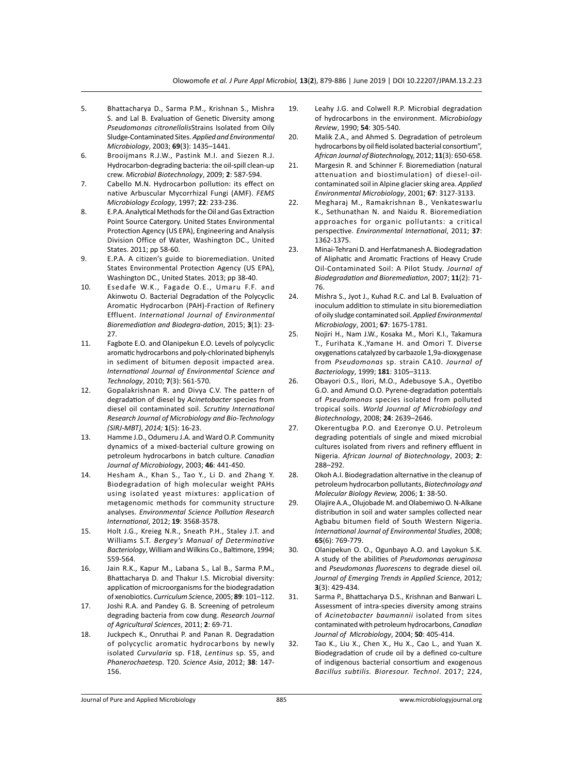- 5. Bhattacharya D., Sarma P.M., Krishnan S., Mishra S. and Lal B. Evaluation of Genetic Diversity among *Pseudomonas citronellolis*Strains Isolated from Oily Sludge-Contaminated Sites. *Applied and Environmental Microbiology*, 2003; **69**(3): 1435–1441.
- 6. Brooijmans R.J.W., Pastink M.I. and Siezen R.J. Hydrocarbon-degrading bacteria: the oil-spill clean-up crew. *Microbial Biotechnology*, 2009; **2**: 587-594.
- 7. Cabello M.N. Hydrocarbon pollution: its effect on native Arbuscular Mycorrhizal Fungi (AMF). *FEMS Microbiology Ecology*, 1997; **22**: 233-236.
- 8. E.P.A. Analytical Methods for the Oil and Gas Extraction Point Source Catergory. United States Environmental Protection Agency (US EPA), Engineering and Analysis Division Office of Water, Washington DC., United States. 2011; pp 58-60.
- 9. E.P.A. A citizen's guide to bioremediation. United States Environmental Protection Agency (US EPA), Washington DC., United States. 2013; pp 38-40.
- 10. Esedafe W.K., Fagade O.E., Umaru F.F. and Akinwotu O. Bacterial Degradation of the Polycyclic Aromatic Hydrocarbon (PAH)-Fraction of Refinery Effluent. *International Journal of Environmental Bioremediation and Biodegra-dation*, 2015; **3**(1): 23- 27.
- 11. Fagbote E.O. and Olanipekun E.O. Levels of polycyclic aromatic hydrocarbons and poly-chlorinated biphenyls in sediment of bitumen deposit impacted area. *International Journal of Environmental Science and Technology*, 2010; **7**(3): 561-570.
- 12. Gopalakrishnan R. and Divya C.V. The pattern of degradation of diesel by *Acinetobacter* species from diesel oil contaminated soil. *Scrutiny International Research Journal of Microbiology and Bio-Technology (SIRJ-MBT)*, *2014;* **1**(5): 16-23.
- 13. Hamme J.D., Odumeru J.A. and Ward O.P. Community dynamics of a mixed-bacterial culture growing on petroleum hydrocarbons in batch culture. *Canadian Journal of Microbiology*, 2003; **46**: 441-450.
- 14. Hesham A., Khan S., Tao Y., Li D. and Zhang Y. Biodegradation of high molecular weight PAHs using isolated yeast mixtures: application of metagenomic methods for community structure analyses. *Environmental Science Pollution Research International*, 2012; **19**: 3568-3578.
- 15. Holt J.G., Kreieg N.R., Sneath P.H., Staley J.T. and Williams S.T. *Bergey's Manual of Determinative Bacteriology*, William and Wilkins Co., Baltimore, 1994; 559-564.
- 16. Jain R.K., Kapur M., Labana S., Lal B., Sarma P.M., Bhattacharya D. and Thakur I.S. Microbial diversity: application of microorganisms for the biodegradation of xenobiotics. *Curriculum Sci*ence, 2005; **89**: 101–112.
- 17. Joshi R.A. and Pandey G. B. Screening of petroleum degrading bacteria from cow dung. *Research Journal of Agricultural Sciences*, 2011; **2**: 69-71.
- 18. Juckpech K., Onruthai P. and Panan R. Degradation of polycyclic aromatic hydrocarbons by newly isolated *Curvularia* sp. F18, *Lentinus* sp. S5, and *Phanerochaete*sp. T20. *Science Asia*, 2012; **38**: 147- 156.
- 19. Leahy J.G. and Colwell R.P. Microbial degradation of hydrocarbons in the environment. *Microbiology Review*, 1990; **54**: 305-540.
- 20. Malik Z.A., and Ahmed S. Degradation of petroleum hydrocarbons by oil field isolated bacterial consortium", *African Journal of Biotechnol*ogy, 2012; **11**(3): 650-658.
- 21. Margesin R. and Schinner F. Bioremediation (natural attenuation and biostimulation) of diesel-oilcontaminated soil in Alpine glacier sking area. *Applied Environmental Microbiology*, 2001; **67**: 3127-3133.
- 22. Megharaj M., Ramakrishnan B., Venkateswarlu K., Sethunathan N. and Naidu R. Bioremediation approaches for organic pollutants: a critical perspective. *Environmental International*, 2011; **37**: 1362-1375.
- 23. Minai-Tehrani D. and Herfatmanesh A. Biodegradation of Aliphatic and Aromatic Fractions of Heavy Crude Oil-Contaminated Soil: A Pilot Study. *Journal of Biodegradation and Bioremediation*, 2007; **11**(2): 71- 76.
- 24. Mishra S., Jyot J., Kuhad R.C. and Lal B. Evaluation of inoculum addition to stimulate in situ bioremediation of oily sludge contaminated soil. *Applied Environmental Microbiology*, 2001; **67**: 1675-1781.
- 25. Nojiri H., Nam J.W., Kosaka M., Mori K.I., Takamura T., Furihata K.,Yamane H. and Omori T. Diverse oxygenations catalyzed by carbazole 1,9a-dioxygenase from *Pseudomonas* sp. strain CA10. *Journal of Bacteriology*, 1999; **181**: 3105–3113.
- 26. Obayori O.S., Ilori, M.O., Adebusoye S.A., Oyetibo G.O. and Amund O.O. Pyrene-degradation potentials of *Pseudomonas* species isolated from polluted tropical soils. *World Journal of Microbiology and Biotechnology*, 2008; **24**: 2639–2646.
- 27. Okerentugba P.O. and Ezeronye O.U. Petroleum degrading potentials of single and mixed microbial cultures isolated from rivers and refinery effluent in Nigeria. *African Journal of Biotechnology*, 2003; **2**: 288–292.
- 28. Okoh A.I. Biodegradation alternative in the cleanup of petroleum hydrocarbon pollutants, *Biotechnology and Molecular Biology Review,* 2006; **1**: 38-50.
- 29. Olajire A.A., Olujobade M. and Olabemiwo O. N-Alkane distribution in soil and water samples collected near Agbabu bitumen field of South Western Nigeria. *International Journal of Environmental Studies*, 2008; **65**(6): 769-779.
- 30. Olanipekun O. O., Ogunbayo A.O. and Layokun S.K. A study of the abilities of *Pseudomonas aeruginosa* and *Pseudomonas fluorescens* to degrade diesel oil*. Journal of Emerging Trends in Applied Science*, 2012*;* **3**(3): 429-434.
- 31. Sarma P., Bhattacharya D.S., Krishnan and Banwari L. Assessment of intra-species diversity among strains of *Acinetobacter baumannii* isolated from sites contaminated with petroleum hydrocarbons, *Canadian Journal of Microbiology*, 2004; **50**: 405-414.
- 32. Tao K., Liu X., Chen X., Hu X., Cao L., and Yuan X. Biodegradation of crude oil by a defined co-culture of indigenous bacterial consortium and exogenous *Bacillus subtilis. Bioresour. Technol*. 2017; 224,